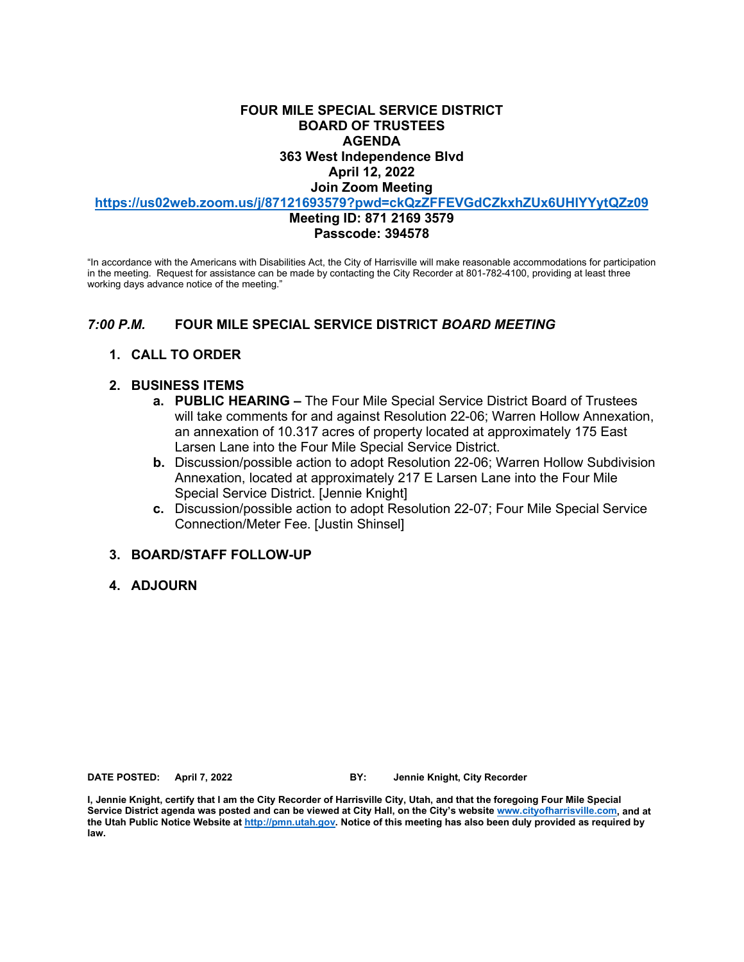### **FOUR MILE SPECIAL SERVICE DISTRICT BOARD OF TRUSTEES AGENDA 363 West Independence Blvd**

#### **April 12, 2022**

**Join Zoom Meeting**

**<https://us02web.zoom.us/j/87121693579?pwd=ckQzZFFEVGdCZkxhZUx6UHlYYytQZz09>**

#### **Meeting ID: 871 2169 3579 Passcode: 394578**

"In accordance with the Americans with Disabilities Act, the City of Harrisville will make reasonable accommodations for participation in the meeting. Request for assistance can be made by contacting the City Recorder at 801-782-4100, providing at least three working days advance notice of the meeting."

### *7:00 P.M.* **FOUR MILE SPECIAL SERVICE DISTRICT** *BOARD MEETING*

### **1. CALL TO ORDER**

### **2. BUSINESS ITEMS**

- **a. PUBLIC HEARING –** The Four Mile Special Service District Board of Trustees will take comments for and against Resolution 22-06; Warren Hollow Annexation, an annexation of 10.317 acres of property located at approximately 175 East Larsen Lane into the Four Mile Special Service District.
- **b.** Discussion/possible action to adopt Resolution 22-06; Warren Hollow Subdivision Annexation, located at approximately 217 E Larsen Lane into the Four Mile Special Service District. [Jennie Knight]
- **c.** Discussion/possible action to adopt Resolution 22-07; Four Mile Special Service Connection/Meter Fee. [Justin Shinsel]

### **3. BOARD/STAFF FOLLOW-UP**

### **4. ADJOURN**

**DATE POSTED: April 7, 2022 BY: Jennie Knight, City Recorder**

**I, Jennie Knight, certify that I am the City Recorder of Harrisville City, Utah, and that the foregoing Four Mile Special Service District agenda was posted and can be viewed at City Hall, on the City's website [www.cityofharrisville.com,](http://www.cityofharrisville.com/) and at the Utah Public Notice Website a[t http://pmn.utah.gov.](http://pmn.utah.gov/) Notice of this meeting has also been duly provided as required by law.**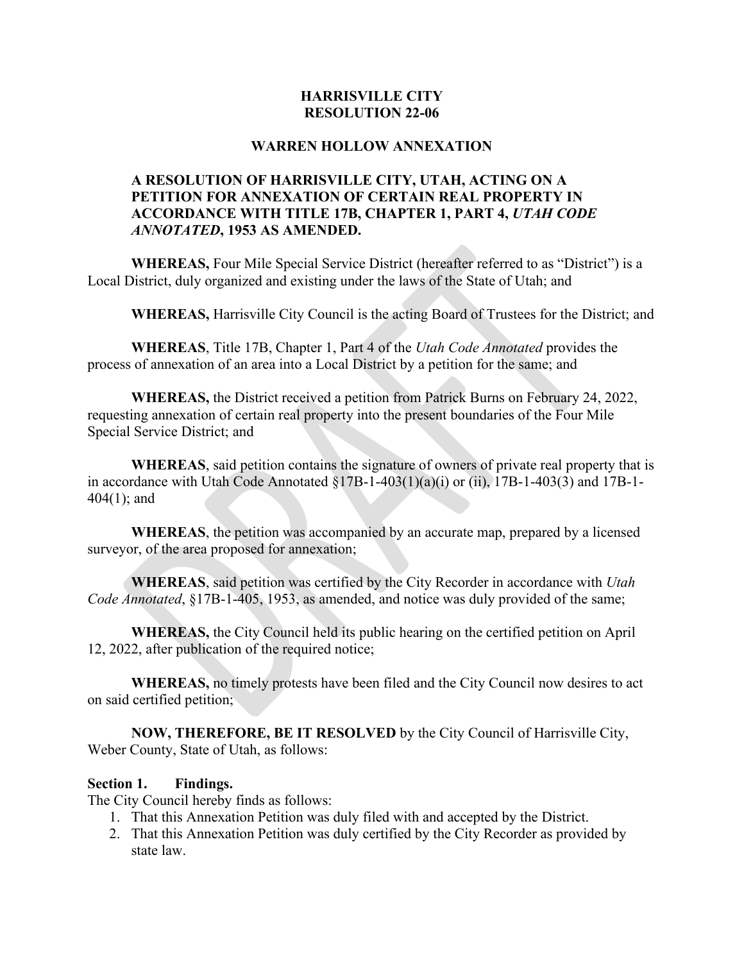# **HARRISVILLE CITY RESOLUTION 22-06**

## **WARREN HOLLOW ANNEXATION**

# **A RESOLUTION OF HARRISVILLE CITY, UTAH, ACTING ON A PETITION FOR ANNEXATION OF CERTAIN REAL PROPERTY IN ACCORDANCE WITH TITLE 17B, CHAPTER 1, PART 4,** *UTAH CODE ANNOTATED***, 1953 AS AMENDED.**

**WHEREAS,** Four Mile Special Service District (hereafter referred to as "District") is a Local District, duly organized and existing under the laws of the State of Utah; and

**WHEREAS,** Harrisville City Council is the acting Board of Trustees for the District; and

**WHEREAS**, Title 17B, Chapter 1, Part 4 of the *Utah Code Annotated* provides the process of annexation of an area into a Local District by a petition for the same; and

**WHEREAS,** the District received a petition from Patrick Burns on February 24, 2022, requesting annexation of certain real property into the present boundaries of the Four Mile Special Service District; and

**WHEREAS**, said petition contains the signature of owners of private real property that is in accordance with Utah Code Annotated §17B-1-403(1)(a)(i) or (ii), 17B-1-403(3) and 17B-1- 404(1); and

**WHEREAS**, the petition was accompanied by an accurate map, prepared by a licensed surveyor, of the area proposed for annexation;

**WHEREAS**, said petition was certified by the City Recorder in accordance with *Utah Code Annotated*, §17B-1-405, 1953, as amended, and notice was duly provided of the same;

**WHEREAS,** the City Council held its public hearing on the certified petition on April 12, 2022, after publication of the required notice;

**WHEREAS,** no timely protests have been filed and the City Council now desires to act on said certified petition;

**NOW, THEREFORE, BE IT RESOLVED** by the City Council of Harrisville City, Weber County, State of Utah, as follows:

## **Section 1. Findings.**

The City Council hereby finds as follows:

- 1. That this Annexation Petition was duly filed with and accepted by the District.
- 2. That this Annexation Petition was duly certified by the City Recorder as provided by state law.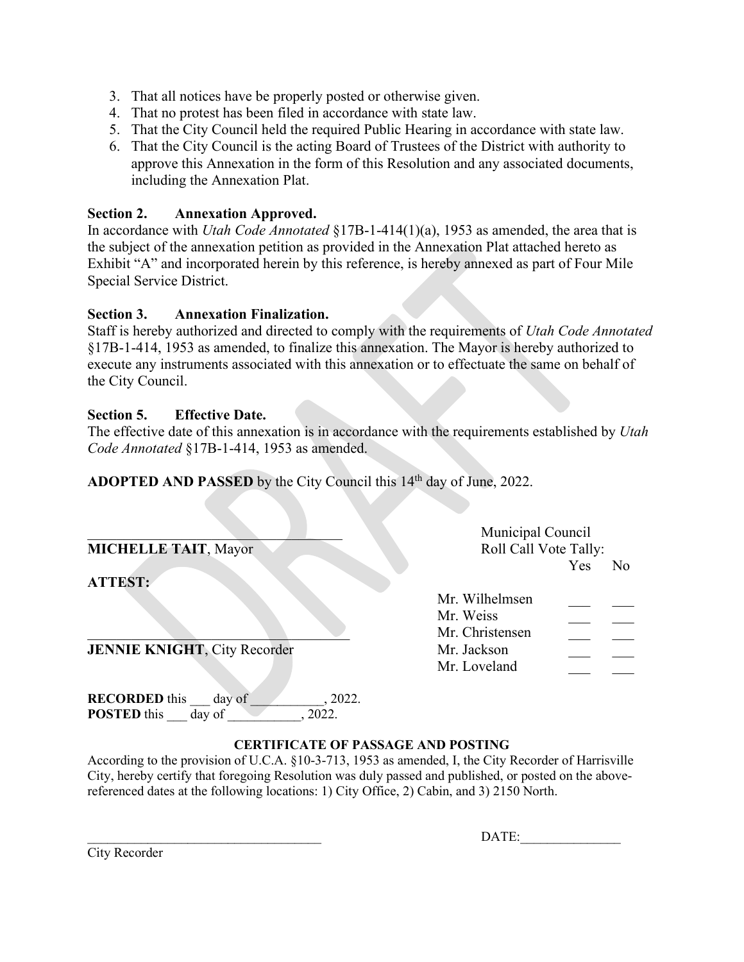- 3. That all notices have be properly posted or otherwise given.
- 4. That no protest has been filed in accordance with state law.
- 5. That the City Council held the required Public Hearing in accordance with state law.
- 6. That the City Council is the acting Board of Trustees of the District with authority to approve this Annexation in the form of this Resolution and any associated documents, including the Annexation Plat.

# **Section 2. Annexation Approved.**

In accordance with *Utah Code Annotated* §17B-1-414(1)(a), 1953 as amended, the area that is the subject of the annexation petition as provided in the Annexation Plat attached hereto as Exhibit "A" and incorporated herein by this reference, is hereby annexed as part of Four Mile Special Service District.

## **Section 3. Annexation Finalization.**

**RECORDED** this day of  $\qquad \qquad$ , 2022. **POSTED** this day of , 2022.

Staff is hereby authorized and directed to comply with the requirements of *Utah Code Annotated* §17B-1-414, 1953 as amended, to finalize this annexation. The Mayor is hereby authorized to execute any instruments associated with this annexation or to effectuate the same on behalf of the City Council.

# **Section 5. Effective Date.**

The effective date of this annexation is in accordance with the requirements established by *Utah Code Annotated* §17B-1-414, 1953 as amended.

**ADOPTED AND PASSED** by the City Council this 14<sup>th</sup> day of June, 2022.

|                                     | Municipal Council     |     |    |
|-------------------------------------|-----------------------|-----|----|
| <b>MICHELLE TAIT, Mayor</b>         | Roll Call Vote Tally: |     |    |
|                                     |                       | Yes | No |
| <b>ATTEST:</b>                      |                       |     |    |
|                                     | Mr. Wilhelmsen        |     |    |
|                                     | Mr. Weiss             |     |    |
|                                     | Mr. Christensen       |     |    |
| <b>JENNIE KNIGHT, City Recorder</b> | Mr. Jackson           |     |    |
|                                     | Mr. Loveland          |     |    |
|                                     |                       |     |    |

## **CERTIFICATE OF PASSAGE AND POSTING**

According to the provision of U.C.A. §10-3-713, 1953 as amended, I, the City Recorder of Harrisville City, hereby certify that foregoing Resolution was duly passed and published, or posted on the abovereferenced dates at the following locations: 1) City Office, 2) Cabin, and 3) 2150 North.

|  | City Recorder |
|--|---------------|
|--|---------------|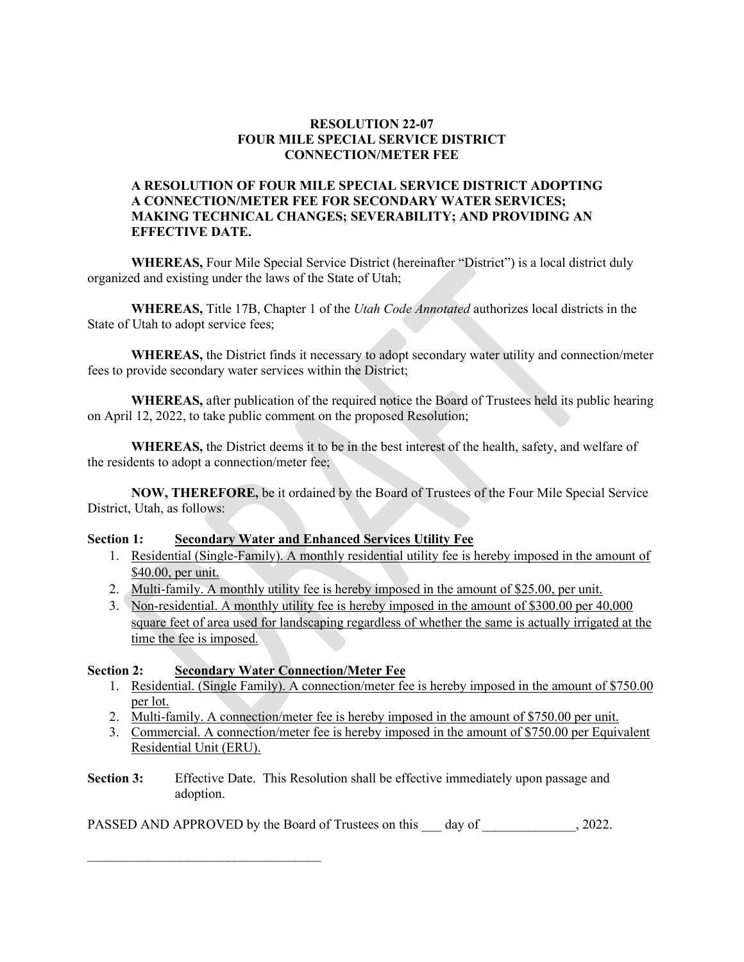### **RESOLUTION 22-07 FOUR MILE SPECIAL SERVICE DISTRICT CONNECTION/METER FEE**

### **A RESOLUTION OF FOUR MILE SPECIAL SERVICE DISTRICT ADOPTING A CONNECTION/METER FEE FOR SECONDARY WATER SERVICES; MAKING TECHNICAL CHANGES; SEVERABILITY; AND PROVIDING AN EFFECTIVE DATE.**

**WHEREAS,** Four Mile Special Service District (hereinafter "District") is a local district duly organized and existing under the laws of the State of Utah;

**WHEREAS,** Title 17B, Chapter 1 of the *Utah Code Annotated* authorizes local districts in the State of Utah to adopt service fees;

**WHEREAS,** the District finds it necessary to adopt secondary water utility and connection/meter fees to provide secondary water services within the District;

**WHEREAS,** after publication of the required notice the Board of Trustees held its public hearing on April 12, 2022, to take public comment on the proposed Resolution;

**WHEREAS,** the District deems it to be in the best interest of the health, safety, and welfare of the residents to adopt a connection/meter fee;

**NOW, THEREFORE,** be it ordained by the Board of Trustees of the Four Mile Special Service District, Utah, as follows:

#### **Section 1: Secondary Water and Enhanced Services Utility Fee**

- 1. Residential (Single-Family). A monthly residential utility fee is hereby imposed in the amount of \$40.00, per unit.
- 2. Multi-family. A monthly utility fee is hereby imposed in the amount of \$25.00, per unit.
- 3. Non-residential. A monthly utility fee is hereby imposed in the amount of \$300.00 per 40,000 square feet of area used for landscaping regardless of whether the same is actually irrigated at the time the fee is imposed.

#### **Section 2: Secondary Water Connection/Meter Fee**

 $\mathcal{L}_\text{max}$  , where  $\mathcal{L}_\text{max}$  is the set of the set of the set of the set of the set of the set of the set of the set of the set of the set of the set of the set of the set of the set of the set of the set of the se

- 1. Residential. (Single Family). A connection/meter fee is hereby imposed in the amount of \$750.00 per lot.
- 2. Multi-family. A connection/meter fee is hereby imposed in the amount of \$750.00 per unit.
- 3. Commercial. A connection/meter fee is hereby imposed in the amount of \$750.00 per Equivalent Residential Unit (ERU).
- **Section 3:** Effective Date. This Resolution shall be effective immediately upon passage and adoption.

PASSED AND APPROVED by the Board of Trustees on this day of  $\qquad \qquad$ , 2022.